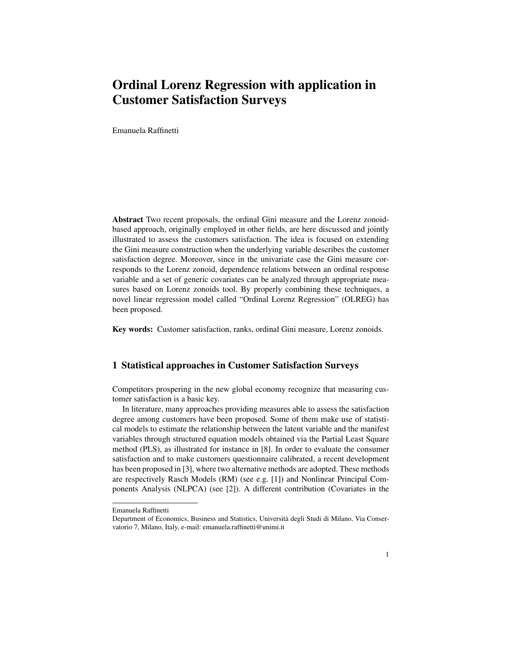# Ordinal Lorenz Regression with application in Customer Satisfaction Surveys

Emanuela Raffinetti

Abstract Two recent proposals, the ordinal Gini measure and the Lorenz zonoidbased approach, originally employed in other fields, are here discussed and jointly illustrated to assess the customers satisfaction. The idea is focused on extending the Gini measure construction when the underlying variable describes the customer satisfaction degree. Moreover, since in the univariate case the Gini measure corresponds to the Lorenz zonoid, dependence relations between an ordinal response variable and a set of generic covariates can be analyzed through appropriate measures based on Lorenz zonoids tool. By properly combining these techniques, a novel linear regression model called "Ordinal Lorenz Regression" (OLREG) has been proposed.

Key words: Customer satisfaction, ranks, ordinal Gini measure, Lorenz zonoids.

## 1 Statistical approaches in Customer Satisfaction Surveys

Competitors prospering in the new global economy recognize that measuring customer satisfaction is a basic key.

In literature, many approaches providing measures able to assess the satisfaction degree among customers have been proposed. Some of them make use of statistical models to estimate the relationship between the latent variable and the manifest variables through structured equation models obtained via the Partial Least Square method (PLS), as illustrated for instance in [8]. In order to evaluate the consumer satisfaction and to make customers questionnaire calibrated, a recent development has been proposed in [3], where two alternative methods are adopted. These methods are respectively Rasch Models (RM) (see e.g. [1]) and Nonlinear Principal Components Analysis (NLPCA) (see [2]). A different contribution (Covariates in the

Emanuela Raffinetti

Department of Economics, Business and Statistics, Universita degli Studi di Milano, Via Conser- ` vatorio 7, Milano, Italy, e-mail: emanuela.raffinetti@unimi.it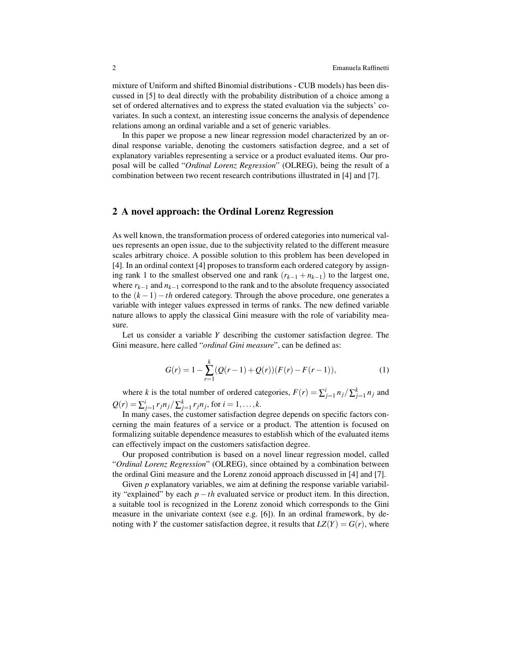mixture of Uniform and shifted Binomial distributions - CUB models) has been discussed in [5] to deal directly with the probability distribution of a choice among a set of ordered alternatives and to express the stated evaluation via the subjects' covariates. In such a context, an interesting issue concerns the analysis of dependence relations among an ordinal variable and a set of generic variables.

In this paper we propose a new linear regression model characterized by an ordinal response variable, denoting the customers satisfaction degree, and a set of explanatory variables representing a service or a product evaluated items. Our proposal will be called "*Ordinal Lorenz Regression*" (OLREG), being the result of a combination between two recent research contributions illustrated in [4] and [7].

### 2 A novel approach: the Ordinal Lorenz Regression

As well known, the transformation process of ordered categories into numerical values represents an open issue, due to the subjectivity related to the different measure scales arbitrary choice. A possible solution to this problem has been developed in [4]. In an ordinal context [4] proposes to transform each ordered category by assigning rank 1 to the smallest observed one and rank  $(r_{k-1} + n_{k-1})$  to the largest one, where  $r_{k-1}$  and  $n_{k-1}$  correspond to the rank and to the absolute frequency associated to the (*k* −1)−*th* ordered category. Through the above procedure, one generates a variable with integer values expressed in terms of ranks. The new defined variable nature allows to apply the classical Gini measure with the role of variability measure.

Let us consider a variable *Y* describing the customer satisfaction degree. The Gini measure, here called "*ordinal Gini measure*", can be defined as:

$$
G(r) = 1 - \sum_{r=1}^{k} (Q(r-1) + Q(r))(F(r) - F(r-1)),
$$
\n(1)

where *k* is the total number of ordered categories,  $F(r) = \sum_{j=1}^{i} n_j / \sum_{j=1}^{k} n_j$  and  $Q(r) = \sum_{j=1}^{i} r_j n_j / \sum_{j=1}^{k} r_j n_j$ , for  $i = 1, ..., k$ .

In many cases, the customer satisfaction degree depends on specific factors concerning the main features of a service or a product. The attention is focused on formalizing suitable dependence measures to establish which of the evaluated items can effectively impact on the customers satisfaction degree.

Our proposed contribution is based on a novel linear regression model, called "*Ordinal Lorenz Regression*" (OLREG), since obtained by a combination between the ordinal Gini measure and the Lorenz zonoid approach discussed in [4] and [7].

Given *p* explanatory variables, we aim at defining the response variable variability "explained" by each *p* −*th* evaluated service or product item. In this direction, a suitable tool is recognized in the Lorenz zonoid which corresponds to the Gini measure in the univariate context (see e.g. [6]). In an ordinal framework, by denoting with *Y* the customer satisfaction degree, it results that  $LZ(Y) = G(r)$ , where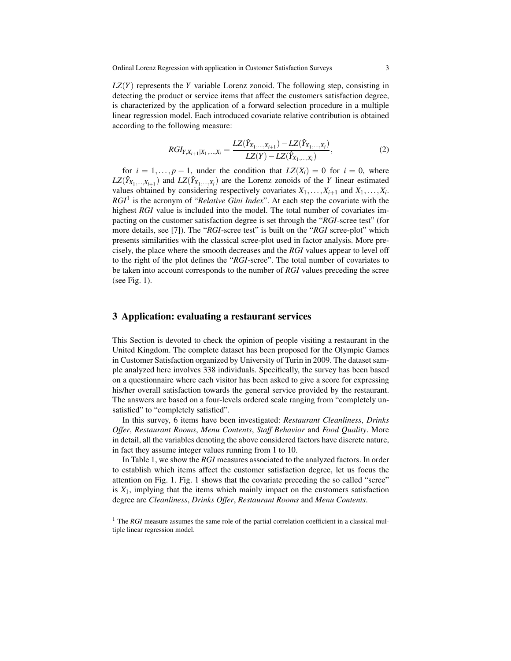*LZ*(*Y*) represents the *Y* variable Lorenz zonoid. The following step, consisting in detecting the product or service items that affect the customers satisfaction degree, is characterized by the application of a forward selection procedure in a multiple linear regression model. Each introduced covariate relative contribution is obtained according to the following measure:

$$
RGI_{Y,X_{i+1}|X_1,...,X_i} = \frac{LZ(\hat{Y}_{X_1,...,X_{i+1}}) - LZ(\hat{Y}_{X_1,...,X_i})}{LZ(Y) - LZ(\hat{Y}_{X_1,...,X_i})},
$$
\n(2)

for  $i = 1, \ldots, p - 1$ , under the condition that  $LZ(X_i) = 0$  for  $i = 0$ , where  $LZ(\hat{Y}_{X_1,\dots,X_{i+1}})$  and  $LZ(\hat{Y}_{X_1,\dots,X_i})$  are the Lorenz zonoids of the *Y* linear estimated values obtained by considering respectively covariates  $X_1, \ldots, X_{i+1}$  and  $X_1, \ldots, X_i$ . *RGI*<sup>1</sup> is the acronym of "*Relative Gini Index*". At each step the covariate with the highest *RGI* value is included into the model. The total number of covariates impacting on the customer satisfaction degree is set through the "*RGI*-scree test" (for more details, see [7]). The "*RGI*-scree test" is built on the "*RGI* scree-plot" which presents similarities with the classical scree-plot used in factor analysis. More precisely, the place where the smooth decreases and the *RGI* values appear to level off to the right of the plot defines the "*RGI*-scree". The total number of covariates to be taken into account corresponds to the number of *RGI* values preceding the scree (see Fig. 1).

#### 3 Application: evaluating a restaurant services

This Section is devoted to check the opinion of people visiting a restaurant in the United Kingdom. The complete dataset has been proposed for the Olympic Games in Customer Satisfaction organized by University of Turin in 2009. The dataset sample analyzed here involves 338 individuals. Specifically, the survey has been based on a questionnaire where each visitor has been asked to give a score for expressing his/her overall satisfaction towards the general service provided by the restaurant. The answers are based on a four-levels ordered scale ranging from "completely unsatisfied" to "completely satisfied".

In this survey, 6 items have been investigated: *Restaurant Cleanliness*, *Drinks Offer*, *Restaurant Rooms*, *Menu Contents*, *Staff Behavior* and *Food Quality*. More in detail, all the variables denoting the above considered factors have discrete nature, in fact they assume integer values running from 1 to 10.

In Table 1, we show the *RGI* measures associated to the analyzed factors. In order to establish which items affect the customer satisfaction degree, let us focus the attention on Fig. 1. Fig. 1 shows that the covariate preceding the so called "scree" is  $X_1$ , implying that the items which mainly impact on the customers satisfaction degree are *Cleanliness*, *Drinks Offer*, *Restaurant Rooms* and *Menu Contents*.

<sup>&</sup>lt;sup>1</sup> The *RGI* measure assumes the same role of the partial correlation coefficient in a classical multiple linear regression model.